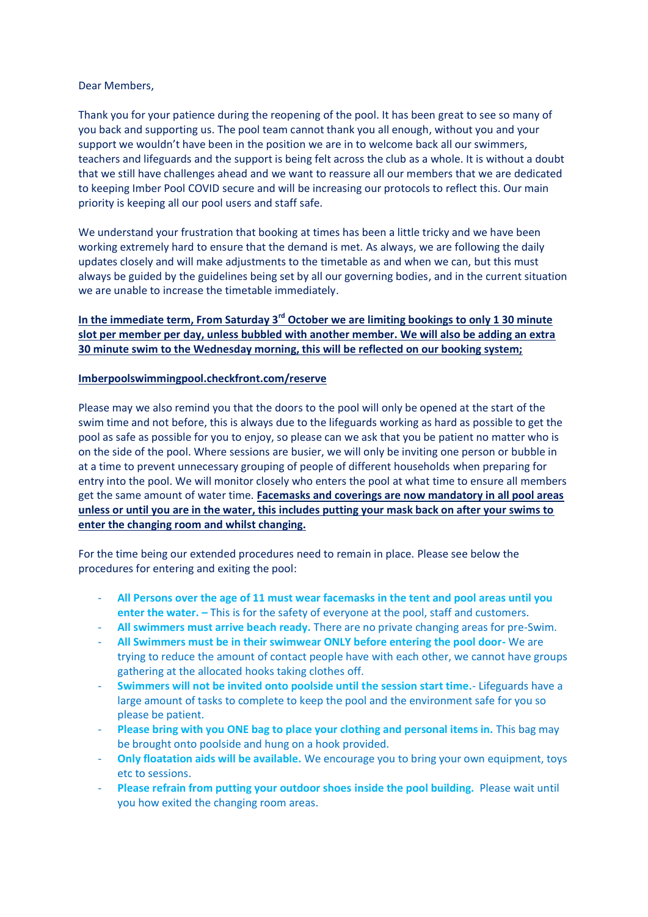## Dear Members,

Thank you for your patience during the reopening of the pool. It has been great to see so many of you back and supporting us. The pool team cannot thank you all enough, without you and your support we wouldn't have been in the position we are in to welcome back all our swimmers, teachers and lifeguards and the support is being felt across the club as a whole. It is without a doubt that we still have challenges ahead and we want to reassure all our members that we are dedicated to keeping Imber Pool COVID secure and will be increasing our protocols to reflect this. Our main priority is keeping all our pool users and staff safe.

We understand your frustration that booking at times has been a little tricky and we have been working extremely hard to ensure that the demand is met. As always, we are following the daily updates closely and will make adjustments to the timetable as and when we can, but this must always be guided by the guidelines being set by all our governing bodies, and in the current situation we are unable to increase the timetable immediately.

## **In the immediate term, From Saturday 3rd October we are limiting bookings to only 1 30 minute slot per member per day, unless bubbled with another member. We will also be adding an extra 30 minute swim to the Wednesday morning, this will be reflected on our booking system;**

## **Imberpoolswimmingpool.checkfront.com/reserve**

Please may we also remind you that the doors to the pool will only be opened at the start of the swim time and not before, this is always due to the lifeguards working as hard as possible to get the pool as safe as possible for you to enjoy, so please can we ask that you be patient no matter who is on the side of the pool. Where sessions are busier, we will only be inviting one person or bubble in at a time to prevent unnecessary grouping of people of different households when preparing for entry into the pool. We will monitor closely who enters the pool at what time to ensure all members get the same amount of water time. **Facemasks and coverings are now mandatory in all pool areas unless or until you are in the water, this includes putting your mask back on after your swims to enter the changing room and whilst changing.** 

For the time being our extended procedures need to remain in place. Please see below the procedures for entering and exiting the pool:

- **All Persons over the age of 11 must wear facemasks in the tent and pool areas until you enter the water. –** This is for the safety of everyone at the pool, staff and customers.
- **All swimmers must arrive beach ready.** There are no private changing areas for pre-Swim.
- **All Swimmers must be in their swimwear ONLY before entering the pool door-** We are trying to reduce the amount of contact people have with each other, we cannot have groups gathering at the allocated hooks taking clothes off.
- **Swimmers will not be invited onto poolside until the session start time.** Lifeguards have a large amount of tasks to complete to keep the pool and the environment safe for you so please be patient.
- **Please bring with you ONE bag to place your clothing and personal items in.** This bag may be brought onto poolside and hung on a hook provided.
- **Only floatation aids will be available.** We encourage you to bring your own equipment, toys etc to sessions.
- **Please refrain from putting your outdoor shoes inside the pool building.** Please wait until you how exited the changing room areas.